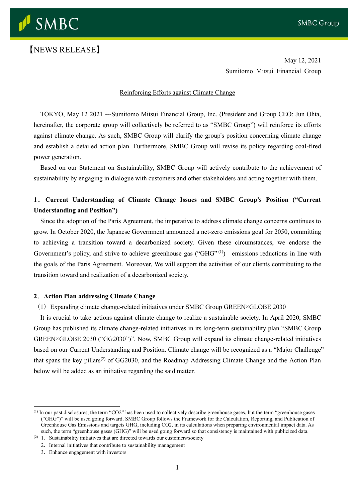

# 【NEWS RELEASE】

May 12, 2021 Sumitomo Mitsui Financial Group

#### Reinforcing Efforts against Climate Change

TOKYO, May 12 2021 ---Sumitomo Mitsui Financial Group, Inc. (President and Group CEO: Jun Ohta, hereinafter, the corporate group will collectively be referred to as "SMBC Group") will reinforce its efforts against climate change. As such, SMBC Group will clarify the group's position concerning climate change and establish a detailed action plan. Furthermore, SMBC Group will revise its policy regarding coal-fired power generation.

Based on our Statement on Sustainability, SMBC Group will actively contribute to the achievement of sustainability by engaging in dialogue with customers and other stakeholders and acting together with them.

# **1**.**Current Understanding of Climate Change Issues and SMBC Group's Position ("Current Understanding and Position")**

Since the adoption of the Paris Agreement, the imperative to address climate change concerns continues to grow. In October 2020, the Japanese Government announced a net-zero emissions goal for 2050, committing to achieving a transition toward a decarbonized society. Given these circumstances, we endorse the Government's policy, and strive to achieve greenhouse gas ("GHG" (1)) emissions reductions in line with the goals of the Paris Agreement. Moreover, We will support the activities of our clients contributing to the transition toward and realization of a decarbonized society.

#### **2**.**Action Plan addressing Climate Change**

#### (1)Expanding climate change-related initiatives under SMBC Group GREEN×GLOBE 2030

It is crucial to take actions against climate change to realize a sustainable society. In April 2020, SMBC Group has published its climate change-related initiatives in its long-term sustainability plan "SMBC Group GREEN×GLOBE 2030 ("GG2030")". Now, SMBC Group will expand its climate change-related initiatives based on our Current Understanding and Position. Climate change will be recognized as a "Major Challenge" that spans the key pillars<sup>(2)</sup> of GG2030, and the Roadmap Addressing Climate Change and the Action Plan below will be added as an initiative regarding the said matter.

<sup>(1)</sup> In our past disclosures, the term "CO2" has been used to collectively describe greenhouse gases, but the term "greenhouse gases ("GHG")" will be used going forward. SMBC Group follows the Framework for the Calculation, Reporting, and Publication of Greenhouse Gas Emissions and targets GHG, including CO2, in its calculations when preparing environmental impact data. As such, the term "greenhouse gases (GHG)" will be used going forward so that consistency is maintained with publicized data.

 $(2)$  1. Sustainability initiatives that are directed towards our customers/society

<sup>2</sup>.Internal initiatives that contribute to sustainability management

<sup>3</sup>.Enhance engagement with investors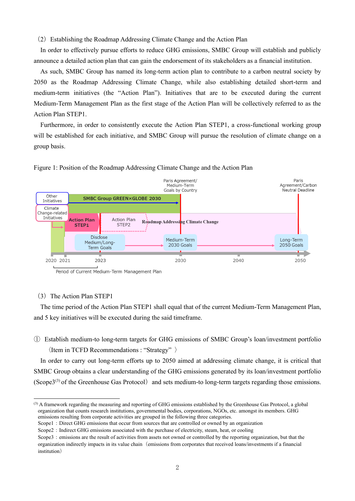(2)Establishing the Roadmap Addressing Climate Change and the Action Plan

In order to effectively pursue efforts to reduce GHG emissions, SMBC Group will establish and publicly announce a detailed action plan that can gain the endorsement of its stakeholders as a financial institution.

As such, SMBC Group has named its long-term action plan to contribute to a carbon neutral society by 2050 as the Roadmap Addressing Climate Change, while also establishing detailed short-term and medium-term initiatives (the "Action Plan"). Initiatives that are to be executed during the current Medium-Term Management Plan as the first stage of the Action Plan will be collectively referred to as the Action Plan STEP1.

Furthermore, in order to consistently execute the Action Plan STEP1, a cross-functional working group will be established for each initiative, and SMBC Group will pursue the resolution of climate change on a group basis.



Figure 1: Position of the Roadmap Addressing Climate Change and the Action Plan

# (3) The Action Plan STEP1

The time period of the Action Plan STEP1 shall equal that of the current Medium-Term Management Plan, and 5 key initiatives will be executed during the said timeframe.

① Establish medium-to long-term targets for GHG emissions of SMBC Group's loan/investment portfolio  $\langle$ Item in TCFD Recommendations : "Strategy"  $\rangle$ 

In order to carry out long-term efforts up to 2050 aimed at addressing climate change, it is critical that SMBC Group obtains a clear understanding of the GHG emissions generated by its loan/investment portfolio (Scope $3^{(3)}$  of the Greenhouse Gas Protocol) and sets medium-to long-term targets regarding those emissions.

Period of Current Medium-Term Management Plan

<sup>(3)</sup> A framework regarding the measuring and reporting of GHG emissions established by the Greenhouse Gas Protocol, a global organization that counts research institutions, governmental bodies, corporations, NGOs, etc. amongst its members. GHG emissions resulting from corporate activities are grouped in the following three categories.

Scope1: Direct GHG emissions that occur from sources that are controlled or owned by an organization

Scope2: Indirect GHG emissions associated with the purchase of electricity, steam, heat, or cooling

Scope3: emissions are the result of activities from assets not owned or controlled by the reporting organization, but that the organization indirectly impacts in its value chain(emissions from corporates that received loans/investments if a financial institution)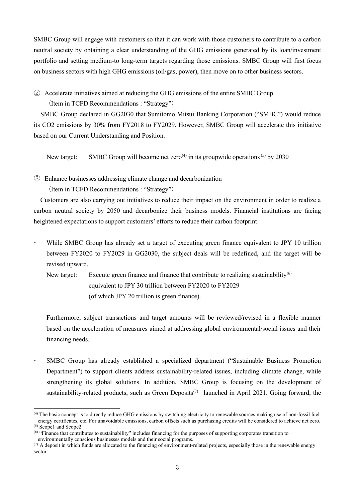SMBC Group will engage with customers so that it can work with those customers to contribute to a carbon neutral society by obtaining a clear understanding of the GHG emissions generated by its loan/investment portfolio and setting medium-to long-term targets regarding those emissions. SMBC Group will first focus on business sectors with high GHG emissions (oil/gas, power), then move on to other business sectors.

② Accelerate initiatives aimed at reducing the GHG emissions of the entire SMBC Group

〈Item in TCFD Recommendations : "Strategy"〉

SMBC Group declared in GG2030 that Sumitomo Mitsui Banking Corporation ("SMBC") would reduce its CO2 emissions by 30% from FY2018 to FY2029. However, SMBC Group will accelerate this initiative based on our Current Understanding and Position.

New target: SMBC Group will become net zero<sup>(4)</sup> in its groupwide operations<sup>(5)</sup> by 2030

③ Enhance businesses addressing climate change and decarbonization 〈Item in TCFD Recommendations : "Strategy"〉

Customers are also carrying out initiatives to reduce their impact on the environment in order to realize a carbon neutral society by 2050 and decarbonize their business models. Financial institutions are facing heightened expectations to support customers' efforts to reduce their carbon footprint.

 While SMBC Group has already set a target of executing green finance equivalent to JPY 10 trillion between FY2020 to FY2029 in GG2030, the subject deals will be redefined, and the target will be revised upward.

New target: Execute green finance and finance that contribute to realizing sustainability<sup>(6)</sup> equivalent to JPY 30 trillion between FY2020 to FY2029 (of which JPY 20 trillion is green finance).

Furthermore, subject transactions and target amounts will be reviewed/revised in a flexible manner based on the acceleration of measures aimed at addressing global environmental/social issues and their financing needs.

 SMBC Group has already established a specialized department ("Sustainable Business Promotion Department") to support clients address sustainability-related issues, including climate change, while strengthening its global solutions. In addition, SMBC Group is focusing on the development of sustainability-related products, such as Green Deposits<sup> $(7)$ </sup> launched in April 2021. Going forward, the

<sup>(4)</sup> The basic concept is to directly reduce GHG emissions by switching electricity to renewable sources making use of non-fossil fuel energy certificates, etc. For unavoidable emissions, carbon offsets such as purchasing credits will be considered to achieve net zero. (5) Scope1 and Scope2

<sup>&</sup>lt;sup>(6)</sup> "Finance that contributes to sustainability" includes financing for the purposes of supporting corporates transition to

environmentally conscious businesses models and their social programs.

 $(7)$  A deposit in which funds are allocated to the financing of environment-related projects, especially those in the renewable energy sector.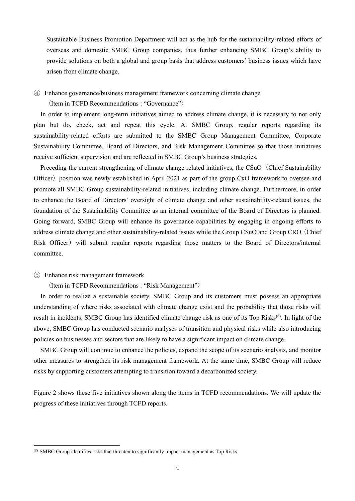Sustainable Business Promotion Department will act as the hub for the sustainability-related efforts of overseas and domestic SMBC Group companies, thus further enhancing SMBC Group's ability to provide solutions on both a global and group basis that address customers' business issues which have arisen from climate change.

④ Enhance governance/business management framework concerning climate change

〈Item in TCFD Recommendations : "Governance"〉

In order to implement long-term initiatives aimed to address climate change, it is necessary to not only plan but do, check, act and repeat this cycle. At SMBC Group, regular reports regarding its sustainability-related efforts are submitted to the SMBC Group Management Committee, Corporate Sustainability Committee, Board of Directors, and Risk Management Committee so that those initiatives receive sufficient supervision and are reflected in SMBC Group's business strategies.

Preceding the current strengthening of climate change related initiatives, the CSuO (Chief Sustainability Officer) position was newly established in April 2021 as part of the group CxO framework to oversee and promote all SMBC Group sustainability-related initiatives, including climate change. Furthermore, in order to enhance the Board of Directors' oversight of climate change and other sustainability-related issues, the foundation of the Sustainability Committee as an internal committee of the Board of Directors is planned. Going forward, SMBC Group will enhance its governance capabilities by engaging in ongoing efforts to address climate change and other sustainability-related issues while the Group CSuO and Group CRO(Chief Risk Officer) will submit regular reports regarding those matters to the Board of Directors/internal committee.

⑤ Enhance risk management framework

 $\langle$ Item in TCFD Recommendations : "Risk Management" $\rangle$ 

In order to realize a sustainable society, SMBC Group and its customers must possess an appropriate understanding of where risks associated with climate change exist and the probability that those risks will result in incidents. SMBC Group has identified climate change risk as one of its Top Risks<sup>(8)</sup>. In light of the above, SMBC Group has conducted scenario analyses of transition and physical risks while also introducing policies on businesses and sectors that are likely to have a significant impact on climate change.

SMBC Group will continue to enhance the policies, expand the scope of its scenario analysis, and monitor other measures to strengthen its risk management framework. At the same time, SMBC Group will reduce risks by supporting customers attempting to transition toward a decarbonized society.

Figure 2 shows these five initiatives shown along the items in TCFD recommendations. We will update the progress of these initiatives through TCFD reports.

<sup>&</sup>lt;sup>(8)</sup> SMBC Group identifies risks that threaten to significantly impact management as Top Risks.